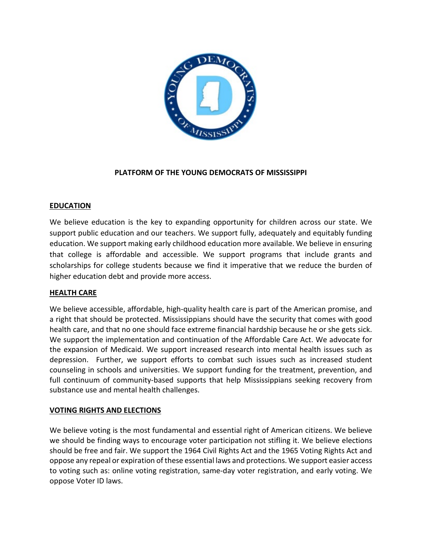

## **PLATFORM OF THE YOUNG DEMOCRATS OF MISSISSIPPI**

### **EDUCATION**

We believe education is the key to expanding opportunity for children across our state. We support public education and our teachers. We support fully, adequately and equitably funding education. We support making early childhood education more available. We believe in ensuring that college is affordable and accessible. We support programs that include grants and scholarships for college students because we find it imperative that we reduce the burden of higher education debt and provide more access.

## **HEALTH CARE**

We believe accessible, affordable, high-quality health care is part of the American promise, and a right that should be protected. Mississippians should have the security that comes with good health care, and that no one should face extreme financial hardship because he or she gets sick. We support the implementation and continuation of the Affordable Care Act. We advocate for the expansion of Medicaid. We support increased research into mental health issues such as depression. Further, we support efforts to combat such issues such as increased student counseling in schools and universities. We support funding for the treatment, prevention, and full continuum of community-based supports that help Mississippians seeking recovery from substance use and mental health challenges.

### **VOTING RIGHTS AND ELECTIONS**

We believe voting is the most fundamental and essential right of American citizens. We believe we should be finding ways to encourage voter participation not stifling it. We believe elections should be free and fair. We support the 1964 Civil Rights Act and the 1965 Voting Rights Act and oppose any repeal or expiration of these essential laws and protections. We support easier access to voting such as: online voting registration, same-day voter registration, and early voting. We oppose Voter ID laws.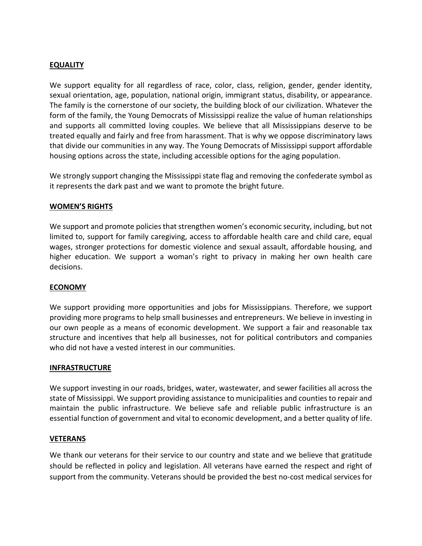### **EQUALITY**

We support equality for all regardless of race, color, class, religion, gender, gender identity, sexual orientation, age, population, national origin, immigrant status, disability, or appearance. The family is the cornerstone of our society, the building block of our civilization. Whatever the form of the family, the Young Democrats of Mississippi realize the value of human relationships and supports all committed loving couples. We believe that all Mississippians deserve to be treated equally and fairly and free from harassment. That is why we oppose discriminatory laws that divide our communities in any way. The Young Democrats of Mississippi support affordable housing options across the state, including accessible options for the aging population.

We strongly support changing the Mississippi state flag and removing the confederate symbol as it represents the dark past and we want to promote the bright future.

### **WOMEN'S RIGHTS**

We support and promote policies that strengthen women's economic security, including, but not limited to, support for family caregiving, access to affordable health care and child care, equal wages, stronger protections for domestic violence and sexual assault, affordable housing, and higher education. We support a woman's right to privacy in making her own health care decisions.

### **ECONOMY**

We support providing more opportunities and jobs for Mississippians. Therefore, we support providing more programs to help small businesses and entrepreneurs. We believe in investing in our own people as a means of economic development. We support a fair and reasonable tax structure and incentives that help all businesses, not for political contributors and companies who did not have a vested interest in our communities.

#### **INFRASTRUCTURE**

We support investing in our roads, bridges, water, wastewater, and sewer facilities all across the state of Mississippi. We support providing assistance to municipalities and counties to repair and maintain the public infrastructure. We believe safe and reliable public infrastructure is an essential function of government and vital to economic development, and a better quality of life.

#### **VETERANS**

We thank our veterans for their service to our country and state and we believe that gratitude should be reflected in policy and legislation. All veterans have earned the respect and right of support from the community. Veterans should be provided the best no-cost medical services for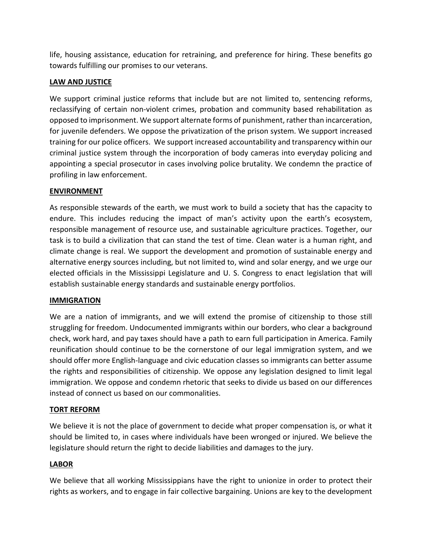life, housing assistance, education for retraining, and preference for hiring. These benefits go towards fulfilling our promises to our veterans.

## **LAW AND JUSTICE**

We support criminal justice reforms that include but are not limited to, sentencing reforms, reclassifying of certain non-violent crimes, probation and community based rehabilitation as opposed to imprisonment. We support alternate forms of punishment, rather than incarceration, for juvenile defenders. We oppose the privatization of the prison system. We support increased training for our police officers. We support increased accountability and transparency within our criminal justice system through the incorporation of body cameras into everyday policing and appointing a special prosecutor in cases involving police brutality. We condemn the practice of profiling in law enforcement.

## **ENVIRONMENT**

As responsible stewards of the earth, we must work to build a society that has the capacity to endure. This includes reducing the impact of man's activity upon the earth's ecosystem, responsible management of resource use, and sustainable agriculture practices. Together, our task is to build a civilization that can stand the test of time. Clean water is a human right, and climate change is real. We support the development and promotion of sustainable energy and alternative energy sources including, but not limited to, wind and solar energy, and we urge our elected officials in the Mississippi Legislature and U. S. Congress to enact legislation that will establish sustainable energy standards and sustainable energy portfolios.

## **IMMIGRATION**

We are a nation of immigrants, and we will extend the promise of citizenship to those still struggling for freedom. Undocumented immigrants within our borders, who clear a background check, work hard, and pay taxes should have a path to earn full participation in America. Family reunification should continue to be the cornerstone of our legal immigration system, and we should offer more English-language and civic education classes so immigrants can better assume the rights and responsibilities of citizenship. We oppose any legislation designed to limit legal immigration. We oppose and condemn rhetoric that seeks to divide us based on our differences instead of connect us based on our commonalities.

## **TORT REFORM**

We believe it is not the place of government to decide what proper compensation is, or what it should be limited to, in cases where individuals have been wronged or injured. We believe the legislature should return the right to decide liabilities and damages to the jury.

# **LABOR**

We believe that all working Mississippians have the right to unionize in order to protect their rights as workers, and to engage in fair collective bargaining. Unions are key to the development